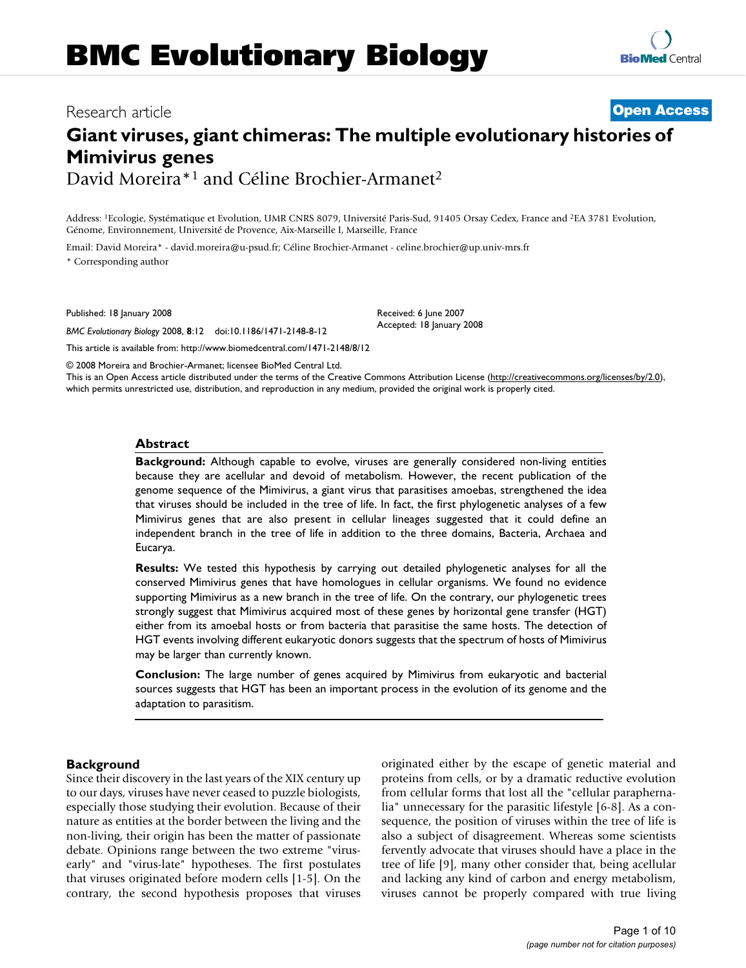# Research article **Open Access Giant viruses, giant chimeras: The multiple evolutionary histories of**

**Mimivirus genes** David Moreira\*1 and Céline Brochier-Armanet2

Address: 1Ecologie, Systématique et Evolution, UMR CNRS 8079, Université Paris-Sud, 91405 Orsay Cedex, France and 2EA 3781 Evolution, Génome, Environnement, Université de Provence, Aix-Marseille I, Marseille, France

Email: David Moreira\* - david.moreira@u-psud.fr; Céline Brochier-Armanet - celine.brochier@up.univ-mrs.fr \* Corresponding author

Published: 18 January 2008

*BMC Evolutionary Biology* 2008, **8**:12 doi:10.1186/1471-2148-8-12

This article is available from: http://www.biomedcentral.com/1471-2148/8/12

© 2008 Moreira and Brochier-Armanet; licensee BioMed Central Ltd.

This is an Open Access article distributed under the terms of the Creative Commons Attribution License (http://creativecommons.org/licenses/by/2.0), which permits unrestricted use, distribution, and reproduction in any medium, provided the original work is properly cited.

Received: 6 June 2007 Accepted: 18 January 2008

#### **Abstract**

**Background:** Although capable to evolve, viruses are generally considered non-living entities because they are acellular and devoid of metabolism. However, the recent publication of the genome sequence of the Mimivirus, a giant virus that parasitises amoebas, strengthened the idea that viruses should be included in the tree of life. In fact, the first phylogenetic analyses of a few Mimivirus genes that are also present in cellular lineages suggested that it could define an independent branch in the tree of life in addition to the three domains, Bacteria, Archaea and Eucarya.

**Results:** We tested this hypothesis by carrying out detailed phylogenetic analyses for all the conserved Mimivirus genes that have homologues in cellular organisms. We found no evidence supporting Mimivirus as a new branch in the tree of life. On the contrary, our phylogenetic trees strongly suggest that Mimivirus acquired most of these genes by horizontal gene transfer (HGT) either from its amoebal hosts or from bacteria that parasitise the same hosts. The detection of HGT events involving different eukaryotic donors suggests that the spectrum of hosts of Mimivirus may be larger than currently known.

**Conclusion:** The large number of genes acquired by Mimivirus from eukaryotic and bacterial sources suggests that HGT has been an important process in the evolution of its genome and the adaptation to parasitism.

#### **Background**

Since their discovery in the last years of the XIX century up to our days, viruses have never ceased to puzzle biologists, especially those studying their evolution. Because of their nature as entities at the border between the living and the non-living, their origin has been the matter of passionate debate. Opinions range between the two extreme "virusearly" and "virus-late" hypotheses. The first postulates that viruses originated before modern cells [1-5]. On the contrary, the second hypothesis proposes that viruses originated either by the escape of genetic material and proteins from cells, or by a dramatic reductive evolution from cellular forms that lost all the "cellular paraphernalia" unnecessary for the parasitic lifestyle [6-8]. As a consequence, the position of viruses within the tree of life is also a subject of disagreement. Whereas some scientists fervently advocate that viruses should have a place in the tree of life [9], many other consider that, being acellular and lacking any kind of carbon and energy metabolism, viruses cannot be properly compared with true living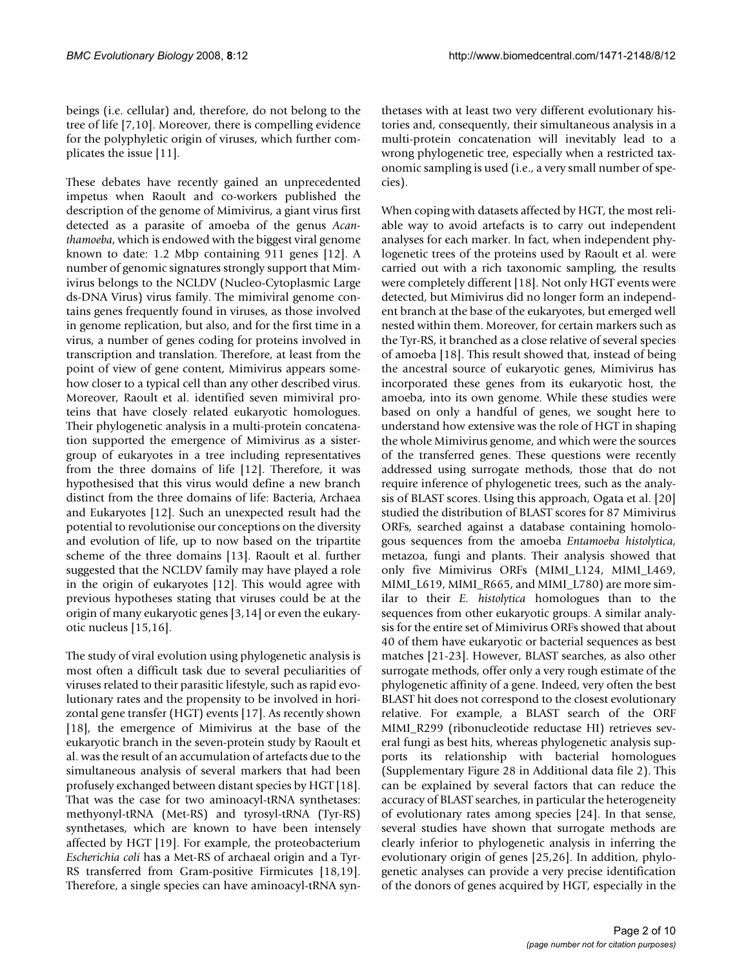beings (i.e. cellular) and, therefore, do not belong to the tree of life [7,10]. Moreover, there is compelling evidence for the polyphyletic origin of viruses, which further complicates the issue [11].

These debates have recently gained an unprecedented impetus when Raoult and co-workers published the description of the genome of Mimivirus, a giant virus first detected as a parasite of amoeba of the genus *Acanthamoeba*, which is endowed with the biggest viral genome known to date: 1.2 Mbp containing 911 genes [12]. A number of genomic signatures strongly support that Mimivirus belongs to the NCLDV (Nucleo-Cytoplasmic Large ds-DNA Virus) virus family. The mimiviral genome contains genes frequently found in viruses, as those involved in genome replication, but also, and for the first time in a virus, a number of genes coding for proteins involved in transcription and translation. Therefore, at least from the point of view of gene content, Mimivirus appears somehow closer to a typical cell than any other described virus. Moreover, Raoult et al. identified seven mimiviral proteins that have closely related eukaryotic homologues. Their phylogenetic analysis in a multi-protein concatenation supported the emergence of Mimivirus as a sistergroup of eukaryotes in a tree including representatives from the three domains of life [12]. Therefore, it was hypothesised that this virus would define a new branch distinct from the three domains of life: Bacteria, Archaea and Eukaryotes [12]. Such an unexpected result had the potential to revolutionise our conceptions on the diversity and evolution of life, up to now based on the tripartite scheme of the three domains [13]. Raoult et al. further suggested that the NCLDV family may have played a role in the origin of eukaryotes [12]. This would agree with previous hypotheses stating that viruses could be at the origin of many eukaryotic genes [3,14] or even the eukaryotic nucleus [15,16].

The study of viral evolution using phylogenetic analysis is most often a difficult task due to several peculiarities of viruses related to their parasitic lifestyle, such as rapid evolutionary rates and the propensity to be involved in horizontal gene transfer (HGT) events [17]. As recently shown [18], the emergence of Mimivirus at the base of the eukaryotic branch in the seven-protein study by Raoult et al. was the result of an accumulation of artefacts due to the simultaneous analysis of several markers that had been profusely exchanged between distant species by HGT [18]. That was the case for two aminoacyl-tRNA synthetases: methyonyl-tRNA (Met-RS) and tyrosyl-tRNA (Tyr-RS) synthetases, which are known to have been intensely affected by HGT [19]. For example, the proteobacterium *Escherichia coli* has a Met-RS of archaeal origin and a Tyr-RS transferred from Gram-positive Firmicutes [18,19]. Therefore, a single species can have aminoacyl-tRNA synthetases with at least two very different evolutionary histories and, consequently, their simultaneous analysis in a multi-protein concatenation will inevitably lead to a wrong phylogenetic tree, especially when a restricted taxonomic sampling is used (i.e., a very small number of species).

When coping with datasets affected by HGT, the most reliable way to avoid artefacts is to carry out independent analyses for each marker. In fact, when independent phylogenetic trees of the proteins used by Raoult et al. were carried out with a rich taxonomic sampling, the results were completely different [18]. Not only HGT events were detected, but Mimivirus did no longer form an independent branch at the base of the eukaryotes, but emerged well nested within them. Moreover, for certain markers such as the Tyr-RS, it branched as a close relative of several species of amoeba [18]. This result showed that, instead of being the ancestral source of eukaryotic genes, Mimivirus has incorporated these genes from its eukaryotic host, the amoeba, into its own genome. While these studies were based on only a handful of genes, we sought here to understand how extensive was the role of HGT in shaping the whole Mimivirus genome, and which were the sources of the transferred genes. These questions were recently addressed using surrogate methods, those that do not require inference of phylogenetic trees, such as the analysis of BLAST scores. Using this approach, Ogata et al. [20] studied the distribution of BLAST scores for 87 Mimivirus ORFs, searched against a database containing homologous sequences from the amoeba *Entamoeba histolytica*, metazoa, fungi and plants. Their analysis showed that only five Mimivirus ORFs (MIMI\_L124, MIMI\_L469, MIMI\_L619, MIMI\_R665, and MIMI\_L780) are more similar to their *E. histolytica* homologues than to the sequences from other eukaryotic groups. A similar analysis for the entire set of Mimivirus ORFs showed that about 40 of them have eukaryotic or bacterial sequences as best matches [21-23]. However, BLAST searches, as also other surrogate methods, offer only a very rough estimate of the phylogenetic affinity of a gene. Indeed, very often the best BLAST hit does not correspond to the closest evolutionary relative. For example, a BLAST search of the ORF MIMI\_R299 (ribonucleotide reductase HI) retrieves several fungi as best hits, whereas phylogenetic analysis supports its relationship with bacterial homologues (Supplementary Figure 28 in Additional data file 2). This can be explained by several factors that can reduce the accuracy of BLAST searches, in particular the heterogeneity of evolutionary rates among species [24]. In that sense, several studies have shown that surrogate methods are clearly inferior to phylogenetic analysis in inferring the evolutionary origin of genes [25,26]. In addition, phylogenetic analyses can provide a very precise identification of the donors of genes acquired by HGT, especially in the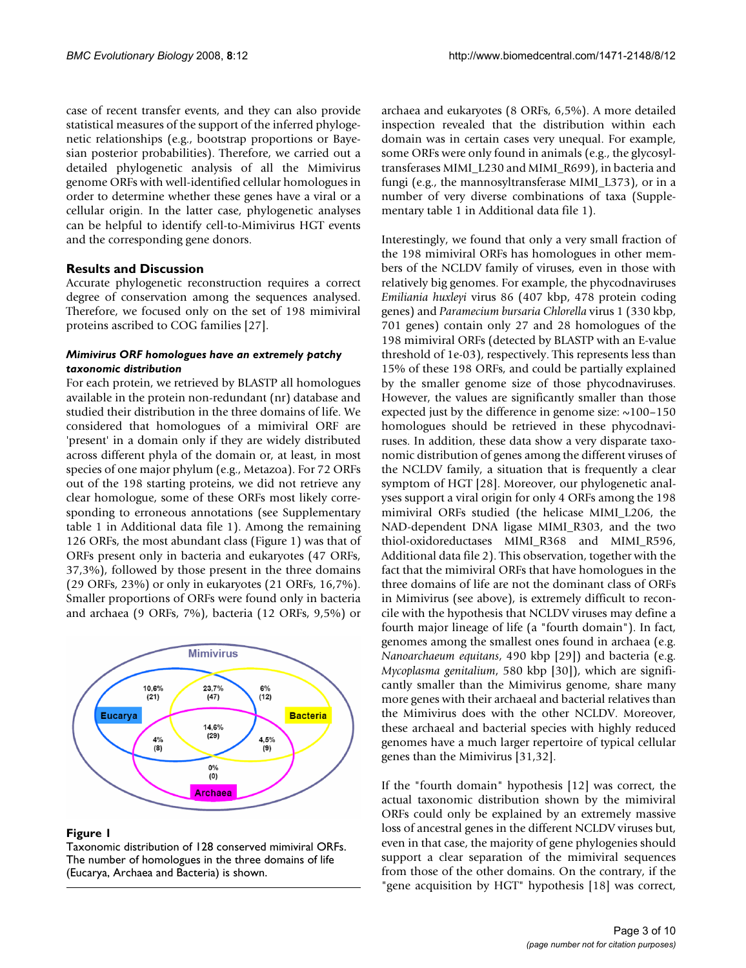case of recent transfer events, and they can also provide statistical measures of the support of the inferred phylogenetic relationships (e.g., bootstrap proportions or Bayesian posterior probabilities). Therefore, we carried out a detailed phylogenetic analysis of all the Mimivirus genome ORFs with well-identified cellular homologues in order to determine whether these genes have a viral or a cellular origin. In the latter case, phylogenetic analyses can be helpful to identify cell-to-Mimivirus HGT events and the corresponding gene donors.

# **Results and Discussion**

Accurate phylogenetic reconstruction requires a correct degree of conservation among the sequences analysed. Therefore, we focused only on the set of 198 mimiviral proteins ascribed to COG families [27].

#### *Mimivirus ORF homologues have an extremely patchy taxonomic distribution*

For each protein, we retrieved by BLASTP all homologues available in the protein non-redundant (nr) database and studied their distribution in the three domains of life. We considered that homologues of a mimiviral ORF are 'present' in a domain only if they are widely distributed across different phyla of the domain or, at least, in most species of one major phylum (e.g., Metazoa). For 72 ORFs out of the 198 starting proteins, we did not retrieve any clear homologue, some of these ORFs most likely corresponding to erroneous annotations (see Supplementary table 1 in Additional data file 1). Among the remaining 126 ORFs, the most abundant class (Figure 1) was that of ORFs present only in bacteria and eukaryotes (47 ORFs, 37,3%), followed by those present in the three domains (29 ORFs, 23%) or only in eukaryotes (21 ORFs, 16,7%). Smaller proportions of ORFs were found only in bacteria and archaea (9 ORFs, 7%), bacteria (12 ORFs, 9,5%) or



#### **Figure 1**

Taxonomic distribution of 128 conserved mimiviral ORFs. The number of homologues in the three domains of life (Eucarya, Archaea and Bacteria) is shown.

archaea and eukaryotes (8 ORFs, 6,5%). A more detailed inspection revealed that the distribution within each domain was in certain cases very unequal. For example, some ORFs were only found in animals (e.g., the glycosyltransferases MIMI\_L230 and MIMI\_R699), in bacteria and fungi (e.g., the mannosyltransferase MIMI\_L373), or in a number of very diverse combinations of taxa (Supplementary table 1 in Additional data file 1).

Interestingly, we found that only a very small fraction of the 198 mimiviral ORFs has homologues in other members of the NCLDV family of viruses, even in those with relatively big genomes. For example, the phycodnaviruses *Emiliania huxleyi* virus 86 (407 kbp, 478 protein coding genes) and *Paramecium bursaria Chlorella* virus 1 (330 kbp, 701 genes) contain only 27 and 28 homologues of the 198 mimiviral ORFs (detected by BLASTP with an E-value threshold of 1e-03), respectively. This represents less than 15% of these 198 ORFs, and could be partially explained by the smaller genome size of those phycodnaviruses. However, the values are significantly smaller than those expected just by the difference in genome size:  $\sim$ 100–150 homologues should be retrieved in these phycodnaviruses. In addition, these data show a very disparate taxonomic distribution of genes among the different viruses of the NCLDV family, a situation that is frequently a clear symptom of HGT [28]. Moreover, our phylogenetic analyses support a viral origin for only 4 ORFs among the 198 mimiviral ORFs studied (the helicase MIMI\_L206, the NAD-dependent DNA ligase MIMI\_R303, and the two thiol-oxidoreductases MIMI\_R368 and MIMI\_R596, Additional data file 2). This observation, together with the fact that the mimiviral ORFs that have homologues in the three domains of life are not the dominant class of ORFs in Mimivirus (see above), is extremely difficult to reconcile with the hypothesis that NCLDV viruses may define a fourth major lineage of life (a "fourth domain"). In fact, genomes among the smallest ones found in archaea (e.g. *Nanoarchaeum equitans*, 490 kbp [29]) and bacteria (e.g. *Mycoplasma genitalium*, 580 kbp [30]), which are significantly smaller than the Mimivirus genome, share many more genes with their archaeal and bacterial relatives than the Mimivirus does with the other NCLDV. Moreover, these archaeal and bacterial species with highly reduced genomes have a much larger repertoire of typical cellular genes than the Mimivirus [31,32].

If the "fourth domain" hypothesis [12] was correct, the actual taxonomic distribution shown by the mimiviral ORFs could only be explained by an extremely massive loss of ancestral genes in the different NCLDV viruses but, even in that case, the majority of gene phylogenies should support a clear separation of the mimiviral sequences from those of the other domains. On the contrary, if the "gene acquisition by HGT" hypothesis [18] was correct,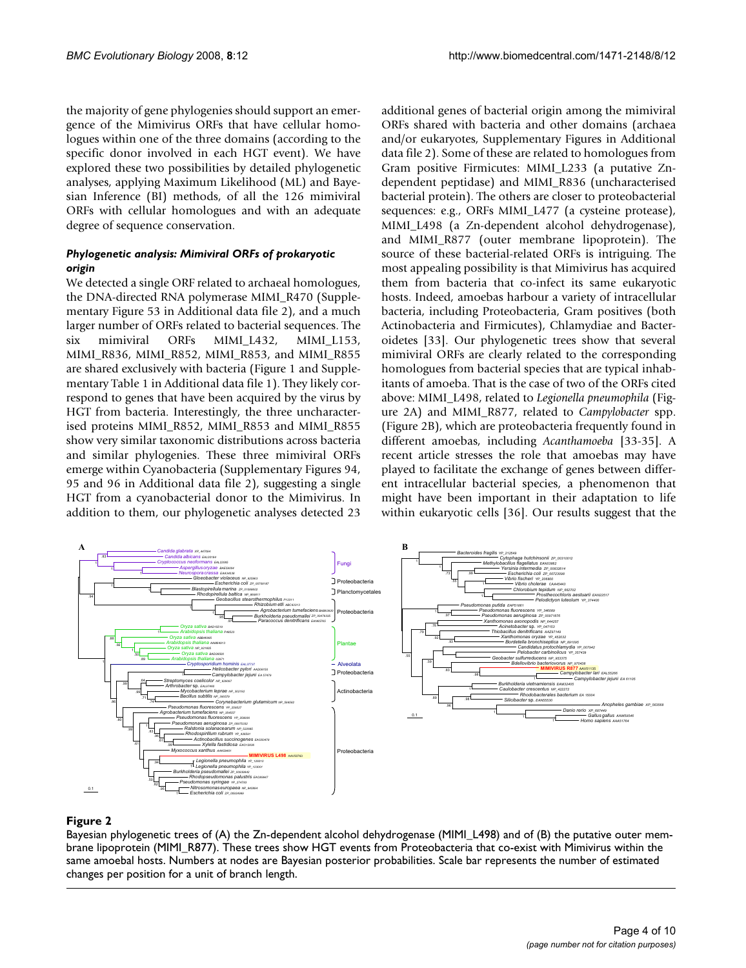the majority of gene phylogenies should support an emergence of the Mimivirus ORFs that have cellular homologues within one of the three domains (according to the specific donor involved in each HGT event). We have explored these two possibilities by detailed phylogenetic analyses, applying Maximum Likelihood (ML) and Bayesian Inference (BI) methods, of all the 126 mimiviral ORFs with cellular homologues and with an adequate degree of sequence conservation.

#### *Phylogenetic analysis: Mimiviral ORFs of prokaryotic origin*

We detected a single ORF related to archaeal homologues, the DNA-directed RNA polymerase MIMI\_R470 (Supplementary Figure 53 in Additional data file 2), and a much larger number of ORFs related to bacterial sequences. The six mimiviral ORFs MIMI\_L432, MIMI\_L153, MIMI\_R836, MIMI\_R852, MIMI\_R853, and MIMI\_R855 are shared exclusively with bacteria (Figure 1 and Supplementary Table 1 in Additional data file 1). They likely correspond to genes that have been acquired by the virus by HGT from bacteria. Interestingly, the three uncharacterised proteins MIMI\_R852, MIMI\_R853 and MIMI\_R855 show very similar taxonomic distributions across bacteria and similar phylogenies. These three mimiviral ORFs emerge within Cyanobacteria (Supplementary Figures 94, 95 and 96 in Additional data file 2), suggesting a single HGT from a cyanobacterial donor to the Mimivirus. In addition to them, our phylogenetic analyses detected 23

additional genes of bacterial origin among the mimiviral ORFs shared with bacteria and other domains (archaea and/or eukaryotes, Supplementary Figures in Additional data file 2). Some of these are related to homologues from Gram positive Firmicutes: MIMI\_L233 (a putative Zndependent peptidase) and MIMI\_R836 (uncharacterised bacterial protein). The others are closer to proteobacterial sequences: e.g., ORFs MIMI\_L477 (a cysteine protease), MIMI\_L498 (a Zn-dependent alcohol dehydrogenase), and MIMI\_R877 (outer membrane lipoprotein). The source of these bacterial-related ORFs is intriguing. The most appealing possibility is that Mimivirus has acquired them from bacteria that co-infect its same eukaryotic hosts. Indeed, amoebas harbour a variety of intracellular bacteria, including Proteobacteria, Gram positives (both Actinobacteria and Firmicutes), Chlamydiae and Bacteroidetes [33]. Our phylogenetic trees show that several mimiviral ORFs are clearly related to the corresponding homologues from bacterial species that are typical inhabitants of amoeba. That is the case of two of the ORFs cited above: MIMI\_L498, related to *Legionella pneumophila* (Figure 2A) and MIMI\_R877, related to *Campylobacter* spp. (Figure 2B), which are proteobacteria frequently found in different amoebas, including *Acanthamoeba* [33-35]. A recent article stresses the role that amoebas may have played to facilitate the exchange of genes between different intracellular bacterial species, a phenomenon that might have been important in their adaptation to life within eukaryotic cells [36]. Our results suggest that the



# Bayesian phylogenetic trees of (A) the Zn-dependent alcohol dehydrogenase (MIMI\_L498) and of (B) the putative outer mem- brane lipoprotein (MIMI\_R877) **Figure 2**

Bayesian phylogenetic trees of (A) the Zn-dependent alcohol dehydrogenase (MIMI\_L498) and of (B) the putative outer membrane lipoprotein (MIMI\_R877). These trees show HGT events from Proteobacteria that co-exist with Mimivirus within the same amoebal hosts. Numbers at nodes are Bayesian posterior probabilities. Scale bar represents the number of estimated changes per position for a unit of branch length.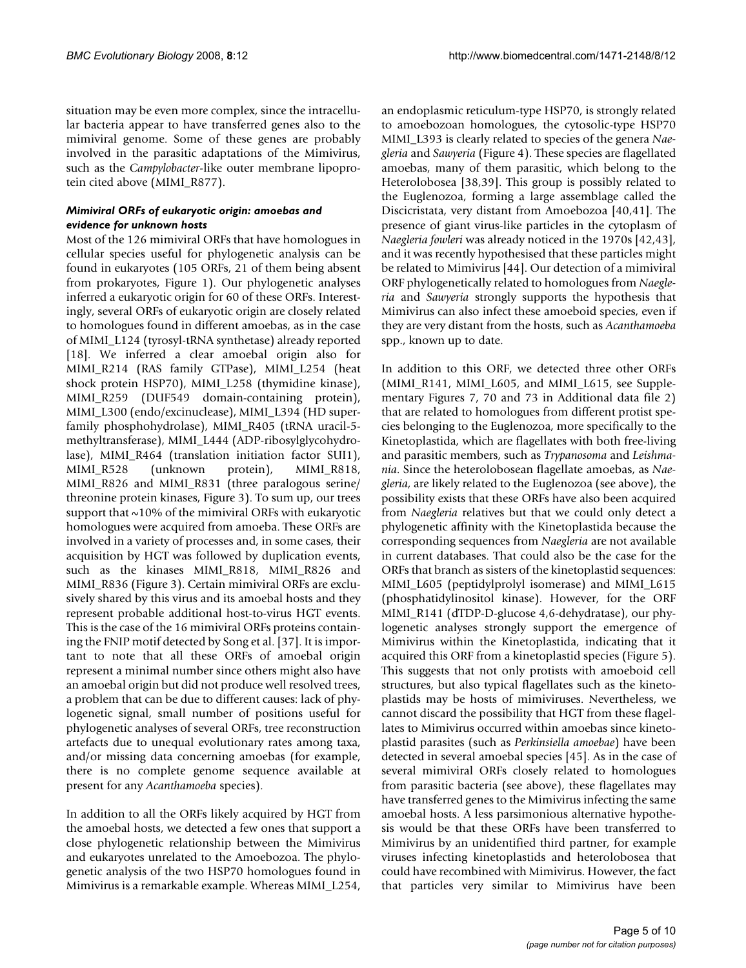situation may be even more complex, since the intracellular bacteria appear to have transferred genes also to the mimiviral genome. Some of these genes are probably involved in the parasitic adaptations of the Mimivirus, such as the *Campylobacter*-like outer membrane lipoprotein cited above (MIMI\_R877).

### *Mimiviral ORFs of eukaryotic origin: amoebas and evidence for unknown hosts*

Most of the 126 mimiviral ORFs that have homologues in cellular species useful for phylogenetic analysis can be found in eukaryotes (105 ORFs, 21 of them being absent from prokaryotes, Figure 1). Our phylogenetic analyses inferred a eukaryotic origin for 60 of these ORFs. Interestingly, several ORFs of eukaryotic origin are closely related to homologues found in different amoebas, as in the case of MIMI\_L124 (tyrosyl-tRNA synthetase) already reported [18]. We inferred a clear amoebal origin also for MIMI\_R214 (RAS family GTPase), MIMI\_L254 (heat shock protein HSP70), MIMI\_L258 (thymidine kinase), MIMI\_R259 (DUF549 domain-containing protein), MIMI\_L300 (endo/excinuclease), MIMI\_L394 (HD superfamily phosphohydrolase), MIMI\_R405 (tRNA uracil-5 methyltransferase), MIMI\_L444 (ADP-ribosylglycohydrolase), MIMI\_R464 (translation initiation factor SUI1), MIMI\_R528 (unknown protein), MIMI\_R818, MIMI\_R826 and MIMI\_R831 (three paralogous serine/ threonine protein kinases, Figure 3). To sum up, our trees support that  $\sim$ 10% of the mimiviral ORFs with eukaryotic homologues were acquired from amoeba. These ORFs are involved in a variety of processes and, in some cases, their acquisition by HGT was followed by duplication events, such as the kinases MIMI\_R818, MIMI\_R826 and MIMI\_R836 (Figure 3). Certain mimiviral ORFs are exclusively shared by this virus and its amoebal hosts and they represent probable additional host-to-virus HGT events. This is the case of the 16 mimiviral ORFs proteins containing the FNIP motif detected by Song et al. [37]. It is important to note that all these ORFs of amoebal origin represent a minimal number since others might also have an amoebal origin but did not produce well resolved trees, a problem that can be due to different causes: lack of phylogenetic signal, small number of positions useful for phylogenetic analyses of several ORFs, tree reconstruction artefacts due to unequal evolutionary rates among taxa, and/or missing data concerning amoebas (for example, there is no complete genome sequence available at present for any *Acanthamoeba* species).

In addition to all the ORFs likely acquired by HGT from the amoebal hosts, we detected a few ones that support a close phylogenetic relationship between the Mimivirus and eukaryotes unrelated to the Amoebozoa. The phylogenetic analysis of the two HSP70 homologues found in Mimivirus is a remarkable example. Whereas MIMI\_L254,

an endoplasmic reticulum-type HSP70, is strongly related to amoebozoan homologues, the cytosolic-type HSP70 MIMI\_L393 is clearly related to species of the genera *Naegleria* and *Sawyeria* (Figure 4). These species are flagellated amoebas, many of them parasitic, which belong to the Heterolobosea [38,39]. This group is possibly related to the Euglenozoa, forming a large assemblage called the Discicristata, very distant from Amoebozoa [40,41]. The presence of giant virus-like particles in the cytoplasm of *Naegleria fowleri* was already noticed in the 1970s [42,43], and it was recently hypothesised that these particles might be related to Mimivirus [44]. Our detection of a mimiviral ORF phylogenetically related to homologues from *Naegleria* and *Sawyeria* strongly supports the hypothesis that Mimivirus can also infect these amoeboid species, even if they are very distant from the hosts, such as *Acanthamoeba* spp., known up to date.

In addition to this ORF, we detected three other ORFs (MIMI\_R141, MIMI\_L605, and MIMI\_L615, see Supplementary Figures 7, 70 and 73 in Additional data file 2) that are related to homologues from different protist species belonging to the Euglenozoa, more specifically to the Kinetoplastida, which are flagellates with both free-living and parasitic members, such as *Trypanosoma* and *Leishmania*. Since the heterolobosean flagellate amoebas, as *Naegleria*, are likely related to the Euglenozoa (see above), the possibility exists that these ORFs have also been acquired from *Naegleria* relatives but that we could only detect a phylogenetic affinity with the Kinetoplastida because the corresponding sequences from *Naegleria* are not available in current databases. That could also be the case for the ORFs that branch as sisters of the kinetoplastid sequences: MIMI\_L605 (peptidylprolyl isomerase) and MIMI\_L615 (phosphatidylinositol kinase). However, for the ORF MIMI\_R141 (dTDP-D-glucose 4,6-dehydratase), our phylogenetic analyses strongly support the emergence of Mimivirus within the Kinetoplastida, indicating that it acquired this ORF from a kinetoplastid species (Figure 5). This suggests that not only protists with amoeboid cell structures, but also typical flagellates such as the kinetoplastids may be hosts of mimiviruses. Nevertheless, we cannot discard the possibility that HGT from these flagellates to Mimivirus occurred within amoebas since kinetoplastid parasites (such as *Perkinsiella amoebae*) have been detected in several amoebal species [45]. As in the case of several mimiviral ORFs closely related to homologues from parasitic bacteria (see above), these flagellates may have transferred genes to the Mimivirus infecting the same amoebal hosts. A less parsimonious alternative hypothesis would be that these ORFs have been transferred to Mimivirus by an unidentified third partner, for example viruses infecting kinetoplastids and heterolobosea that could have recombined with Mimivirus. However, the fact that particles very similar to Mimivirus have been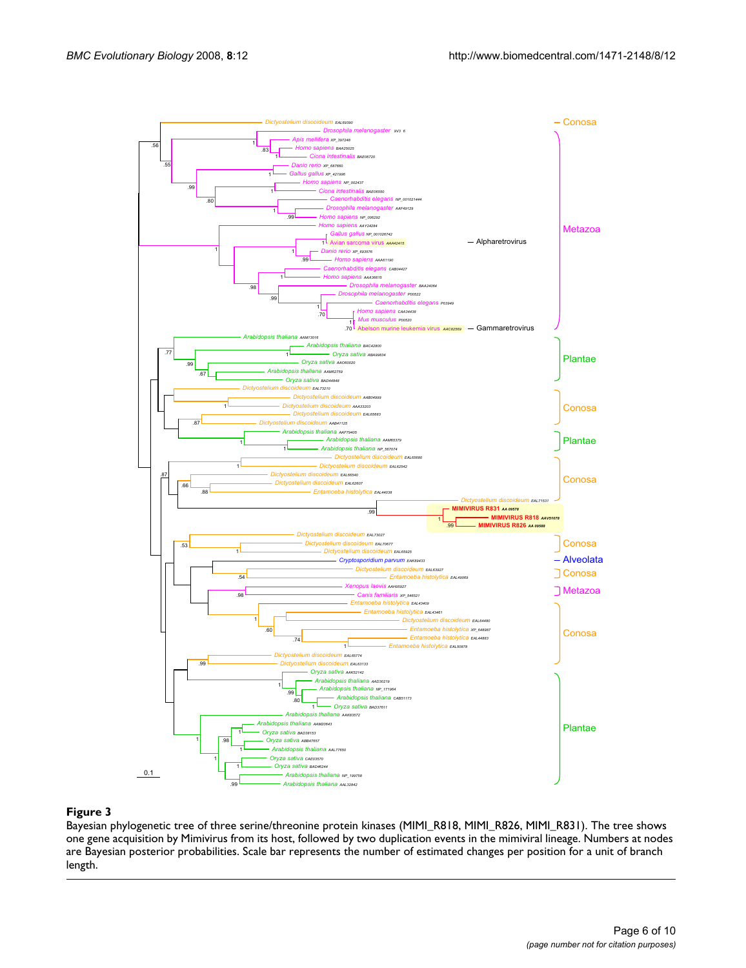

Bayesian phylogenetic tree of three serine/threonine protein kinases (MIMI\_R818, MIMI\_R826, MIMI\_R831). The tree shows one gene acquisition by Mimivirus from its host, followed by two duplication events in the mimiviral lineage. Numbers at nodes are Bayesian posterior probabilities. Scale bar represents the number of estimated changes per position for a unit of branch length.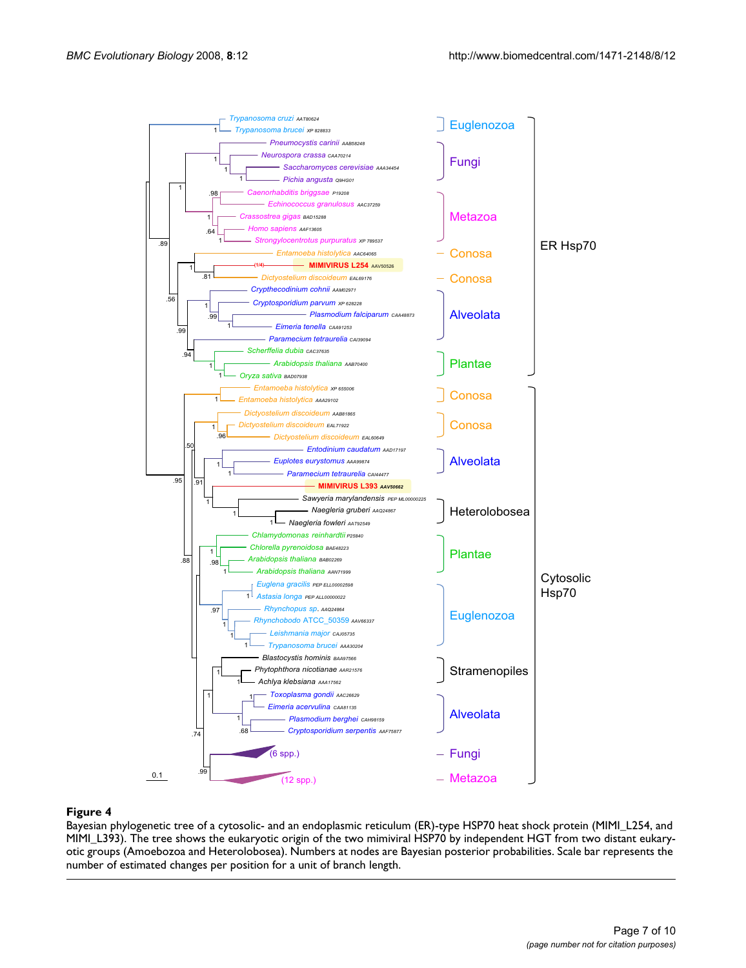

Bayesian phylogenetic tree of a cytosolic- and an endoplasmic reticulum (ER)-type HSP70 heat shock protein (MIMI\_L254, and MIMI\_L393). The tree shows the eukaryotic origin of the two mimiviral HSP70 by independent HGT from two distant eukaryotic groups (Amoebozoa and Heterolobosea). Numbers at nodes are Bayesian posterior probabilities. Scale bar represents the number of estimated changes per position for a unit of branch length.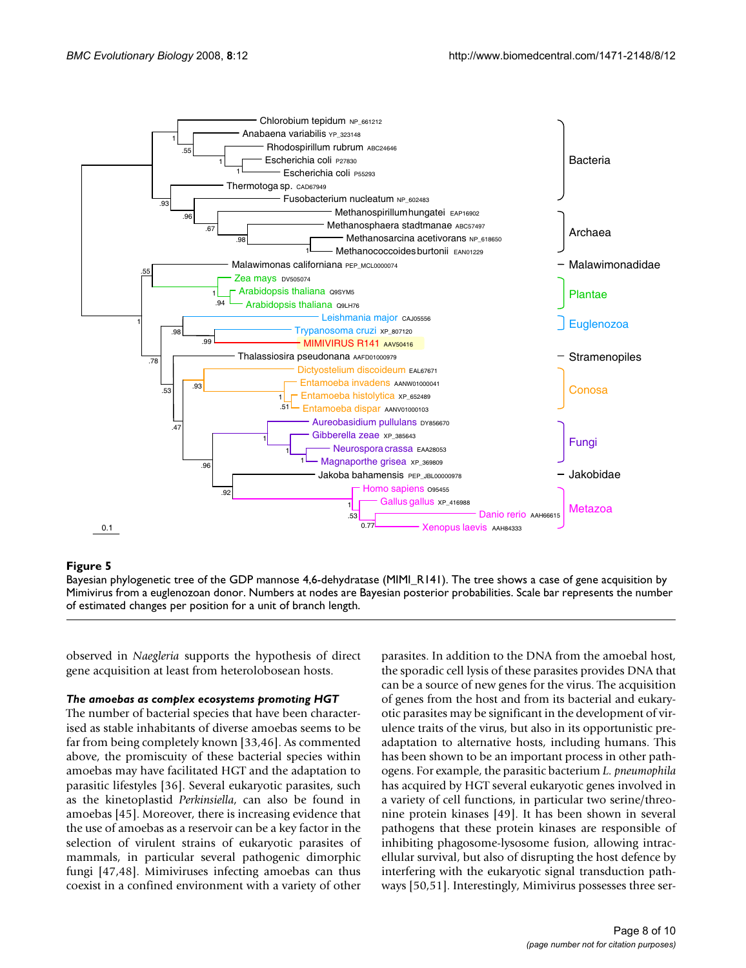

#### Bayesian phylogenetic tree of the GDP mannose 4,6-dehydratase (MIMI\_R141) **Figure 5**

Bayesian phylogenetic tree of the GDP mannose 4,6-dehydratase (MIMI\_R141). The tree shows a case of gene acquisition by Mimivirus from a euglenozoan donor. Numbers at nodes are Bayesian posterior probabilities. Scale bar represents the number of estimated changes per position for a unit of branch length.

observed in *Naegleria* supports the hypothesis of direct gene acquisition at least from heterolobosean hosts.

#### *The amoebas as complex ecosystems promoting HGT*

The number of bacterial species that have been characterised as stable inhabitants of diverse amoebas seems to be far from being completely known [33,46]. As commented above, the promiscuity of these bacterial species within amoebas may have facilitated HGT and the adaptation to parasitic lifestyles [36]. Several eukaryotic parasites, such as the kinetoplastid *Perkinsiella*, can also be found in amoebas [45]. Moreover, there is increasing evidence that the use of amoebas as a reservoir can be a key factor in the selection of virulent strains of eukaryotic parasites of mammals, in particular several pathogenic dimorphic fungi [47,48]. Mimiviruses infecting amoebas can thus coexist in a confined environment with a variety of other parasites. In addition to the DNA from the amoebal host, the sporadic cell lysis of these parasites provides DNA that can be a source of new genes for the virus. The acquisition of genes from the host and from its bacterial and eukaryotic parasites may be significant in the development of virulence traits of the virus, but also in its opportunistic preadaptation to alternative hosts, including humans. This has been shown to be an important process in other pathogens. For example, the parasitic bacterium *L. pneumophila* has acquired by HGT several eukaryotic genes involved in a variety of cell functions, in particular two serine/threonine protein kinases [49]. It has been shown in several pathogens that these protein kinases are responsible of inhibiting phagosome-lysosome fusion, allowing intracellular survival, but also of disrupting the host defence by interfering with the eukaryotic signal transduction pathways [50,51]. Interestingly, Mimivirus possesses three ser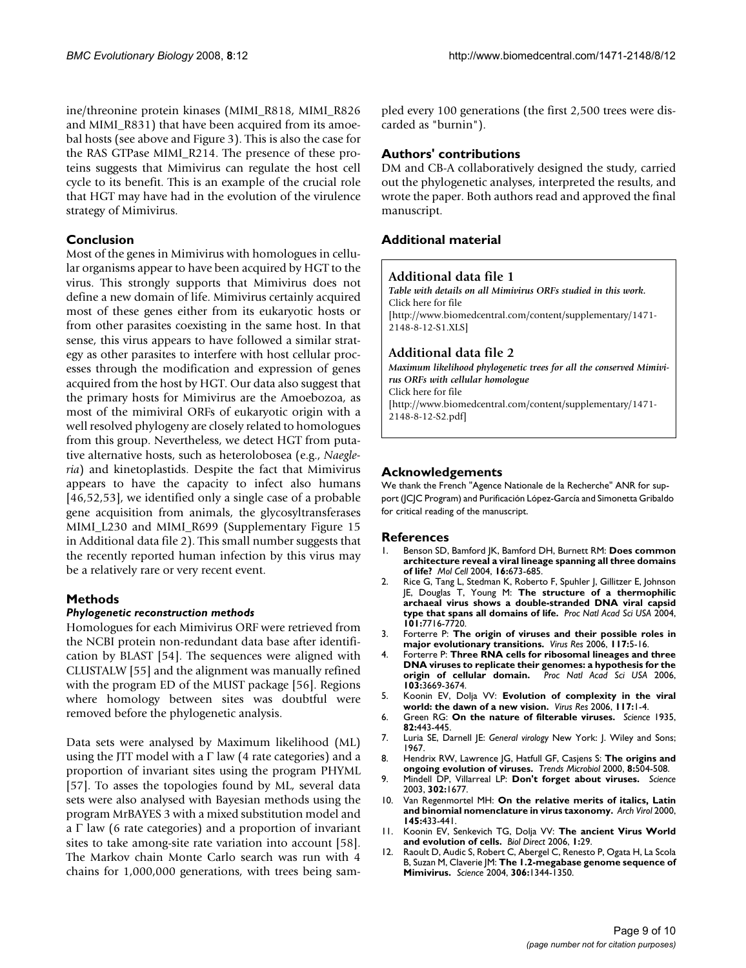ine/threonine protein kinases (MIMI\_R818, MIMI\_R826 and MIMI\_R831) that have been acquired from its amoebal hosts (see above and Figure 3). This is also the case for the RAS GTPase MIMI\_R214. The presence of these proteins suggests that Mimivirus can regulate the host cell cycle to its benefit. This is an example of the crucial role that HGT may have had in the evolution of the virulence strategy of Mimivirus.

# **Conclusion**

Most of the genes in Mimivirus with homologues in cellular organisms appear to have been acquired by HGT to the virus. This strongly supports that Mimivirus does not define a new domain of life. Mimivirus certainly acquired most of these genes either from its eukaryotic hosts or from other parasites coexisting in the same host. In that sense, this virus appears to have followed a similar strategy as other parasites to interfere with host cellular processes through the modification and expression of genes acquired from the host by HGT. Our data also suggest that the primary hosts for Mimivirus are the Amoebozoa, as most of the mimiviral ORFs of eukaryotic origin with a well resolved phylogeny are closely related to homologues from this group. Nevertheless, we detect HGT from putative alternative hosts, such as heterolobosea (e.g., *Naegleria*) and kinetoplastids. Despite the fact that Mimivirus appears to have the capacity to infect also humans [46,52,53], we identified only a single case of a probable gene acquisition from animals, the glycosyltransferases MIMI\_L230 and MIMI\_R699 (Supplementary Figure 15 in Additional data file 2). This small number suggests that the recently reported human infection by this virus may be a relatively rare or very recent event.

# **Methods**

#### *Phylogenetic reconstruction methods*

Homologues for each Mimivirus ORF were retrieved from the NCBI protein non-redundant data base after identification by BLAST [54]. The sequences were aligned with CLUSTALW [55] and the alignment was manually refined with the program ED of the MUST package [56]. Regions where homology between sites was doubtful were removed before the phylogenetic analysis.

Data sets were analysed by Maximum likelihood (ML) using the JTT model with a  $\Gamma$  law (4 rate categories) and a proportion of invariant sites using the program PHYML [57]. To asses the topologies found by ML, several data sets were also analysed with Bayesian methods using the program MrBAYES 3 with a mixed substitution model and a  $\Gamma$  law (6 rate categories) and a proportion of invariant sites to take among-site rate variation into account [58]. The Markov chain Monte Carlo search was run with 4 chains for 1,000,000 generations, with trees being sampled every 100 generations (the first 2,500 trees were discarded as "burnin").

### **Authors' contributions**

DM and CB-A collaboratively designed the study, carried out the phylogenetic analyses, interpreted the results, and wrote the paper. Both authors read and approved the final manuscript.

# **Additional material**

# **Additional data file 1**

*Table with details on all Mimivirus ORFs studied in this work.* Click here for file [http://www.biomedcentral.com/content/supplementary/1471- 2148-8-12-S1.XLS]

#### **Additional data file 2**

*Maximum likelihood phylogenetic trees for all the conserved Mimivirus ORFs with cellular homologue* Click here for file [http://www.biomedcentral.com/content/supplementary/1471- 2148-8-12-S2.pdf]

#### **Acknowledgements**

We thank the French "Agence Nationale de la Recherche" ANR for support (JCJC Program) and Purificación López-García and Simonetta Gribaldo for critical reading of the manuscript.

#### **References**

- 1. Benson SD, Bamford JK, Bamford DH, Burnett RM: **Does common architecture reveal a viral lineage spanning all three domains of life?** *Mol Cell* 2004, **16:**673-685.
- 2. Rice G, Tang L, Stedman K, Roberto F, Spuhler J, Gillitzer E, Johnson JE, Douglas T, Young M: **The structure of a thermophilic archaeal virus shows a double-stranded DNA viral capsid type that spans all domains of life.** *Proc Natl Acad Sci USA* 2004, **101:**7716-7720.
- 3. Forterre P: **The origin of viruses and their possible roles in major evolutionary transitions.** *Virus Res* 2006, **117:**5-16.
- 4. Forterre P: **Three RNA cells for ribosomal lineages and three DNA viruses to replicate their genomes: a hypothesis for the origin of cellular domain.** *Proc Natl Acad Sci USA* 2006, **103:**3669-3674.
- 5. Koonin EV, Dolja VV: **Evolution of complexity in the viral world: the dawn of a new vision.** *Virus Res* 2006, **117:**1-4.
- 6. Green RG: **On the nature of filterable viruses.** *Science* 1935, **82:**443-445.
- 7. Luria SE, Darnell JE: *General virology* New York: J. Wiley and Sons; 1967.
- 8. Hendrix RW, Lawrence JG, Hatfull GF, Casjens S: **The origins and ongoing evolution of viruses.** *Trends Microbiol* 2000, **8:**504-508.
- 9. Mindell DP, Villarreal LP: **Don't forget about viruses.** *Science* 2003, **302:**1677.
- 10. Van Regenmortel MH: **On the relative merits of italics, Latin and binomial nomenclature in virus taxonomy.** *Arch Virol* 2000, **145:**433-441.
- 11. Koonin EV, Senkevich TG, Dolja VV: **The ancient Virus World and evolution of cells.** *Biol Direct* 2006, **1:**29.
- 12. Raoult D, Audic S, Robert C, Abergel C, Renesto P, Ogata H, La Scola B, Suzan M, Claverie JM: **The 1.2-megabase genome sequence of Mimivirus.** *Science* 2004, **306:**1344-1350.